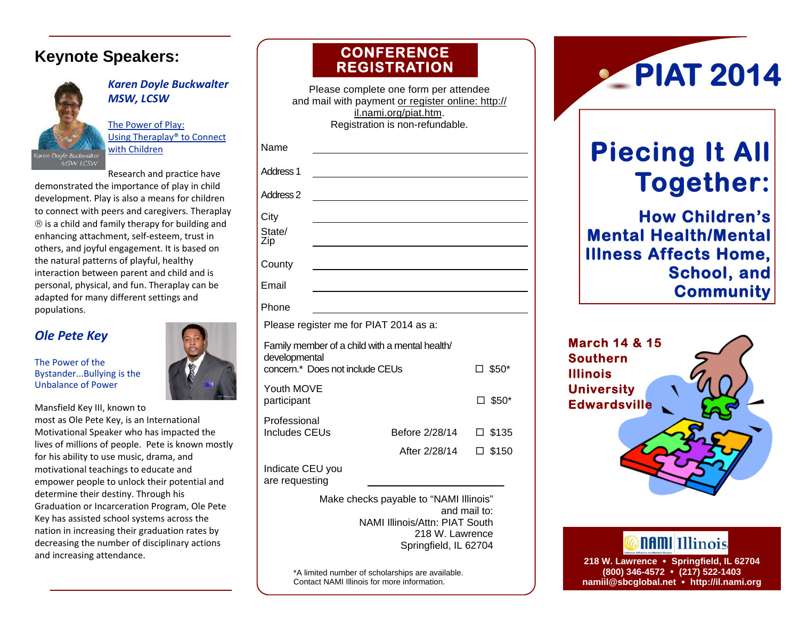# **Keynote Speakers:**



*Karen Doyle Buckwalter MSW, LCSW*

The Power of Play: Using Theraplay® to Connect with Children

Research and practice have

demonstrated the importance of play in child development. Play is also <sup>a</sup> means for children to connect with peers and caregivers. Theraplay  $\circledR$  is a child and family therapy for building and enhancing attachment, self‐esteem, trust in others, and joyful engagement. It is based on the natural patterns of playful, healthy interaction between parent and child and is personal, physical, and fun. Theraplay can be adapted for many different settings and populations.

### *Ole Pete Key*

The Power of the Bystander...Bullying is the Unbalance of Power

Mansfield Key III, known to most as Ole Pete Key, is an International Motivational Speaker who has impacted the lives of millions of people. Pete is known mostly for his ability to use music, drama, and motivational teachings to educate and empower people to unlock their potential and determine their destiny. Through his Graduation or Incarceration Program, Ole Pete Key has assisted school systems across the nation in increasing their graduation rates by decreasing the number of disciplinary actions and increasing attendance.

## **CONFERENCE REGISTRATION**

Please complete one form per attendee and mail with payment or register online: http:// il.nami.org/piat.htm. Registration is non-refundable.

| Name                                                            |  |                |                 |
|-----------------------------------------------------------------|--|----------------|-----------------|
| Address 1                                                       |  |                |                 |
| Address 2                                                       |  |                |                 |
| City<br>State/<br>Zip                                           |  |                |                 |
| County                                                          |  |                |                 |
| Email                                                           |  |                |                 |
| Phone                                                           |  |                |                 |
| Please register me for PIAT 2014 as a:                          |  |                |                 |
| Family member of a child with a mental health/<br>developmental |  |                |                 |
| concern.* Does not include CEUs                                 |  |                | $$50*$<br>П     |
| Youth MOVE<br>participant                                       |  |                | $$50*$<br>⊔     |
| Professional                                                    |  |                |                 |
| Includes CEUs                                                   |  | Before 2/28/14 | $\square$ \$135 |
|                                                                 |  | After 2/28/14  | \$150<br>□      |
| Indicate CEU you<br>are requesting                              |  |                |                 |

Make checks payable to "NAMI Illinois" and mail to: NAMI Illinois/Attn: PIAT South 218 W. Lawrence Springfield, IL 62704

\*A limited number of scholarships are available. Contact NAMI Illinois for more information.



# **Piecing It All Together: Together:**

 **How Children's Mental Health/Mental Illness Affects Home, School, and Community** 



# **nami** Illinois

**218 W. Lawrence Springfield, IL 62704 (800) 346-4572 (217) 522-1403 namiil@sbcglobal.net http://il.nami.org**